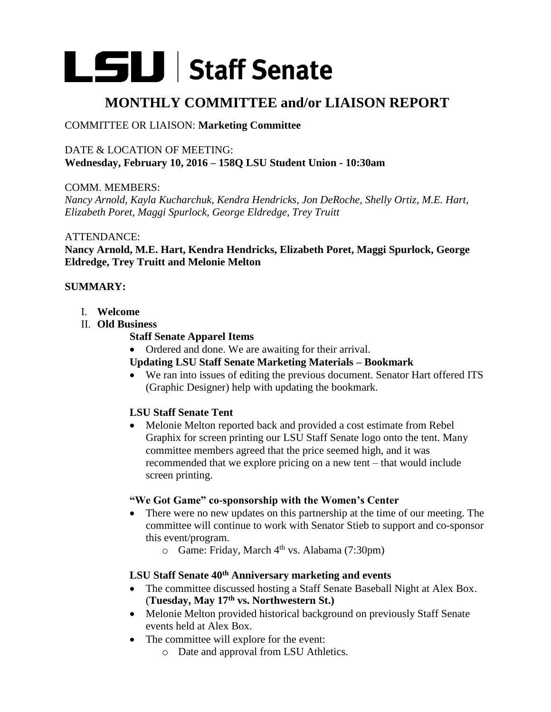# LSU Staff Senate

# **MONTHLY COMMITTEE and/or LIAISON REPORT**

## COMMITTEE OR LIAISON: **Marketing Committee**

## DATE & LOCATION OF MEETING: **Wednesday, February 10, 2016 – 158Q LSU Student Union - 10:30am**

COMM. MEMBERS:

*Nancy Arnold, Kayla Kucharchuk, Kendra Hendricks, Jon DeRoche, Shelly Ortiz, M.E. Hart, Elizabeth Poret, Maggi Spurlock, George Eldredge, Trey Truitt*

#### ATTENDANCE:

**Nancy Arnold, M.E. Hart, Kendra Hendricks, Elizabeth Poret, Maggi Spurlock, George Eldredge, Trey Truitt and Melonie Melton**

### **SUMMARY:**

- I. **Welcome**
- II. **Old Business**

#### **Staff Senate Apparel Items**

- Ordered and done. We are awaiting for their arrival.
- **Updating LSU Staff Senate Marketing Materials – Bookmark**
- We ran into issues of editing the previous document. Senator Hart offered ITS (Graphic Designer) help with updating the bookmark.

# **LSU Staff Senate Tent**

 Melonie Melton reported back and provided a cost estimate from Rebel Graphix for screen printing our LSU Staff Senate logo onto the tent. Many committee members agreed that the price seemed high, and it was recommended that we explore pricing on a new tent – that would include screen printing.

#### **"We Got Game" co-sponsorship with the Women's Center**

- There were no new updates on this partnership at the time of our meeting. The committee will continue to work with Senator Stieb to support and co-sponsor this event/program.
	- o Game: Friday, March 4th vs. Alabama (7:30pm)

# **LSU Staff Senate 40th Anniversary marketing and events**

- The committee discussed hosting a Staff Senate Baseball Night at Alex Box. (**Tuesday, May 17th vs. Northwestern St.)**
- Melonie Melton provided historical background on previously Staff Senate events held at Alex Box.
- The committee will explore for the event:
	- o Date and approval from LSU Athletics.